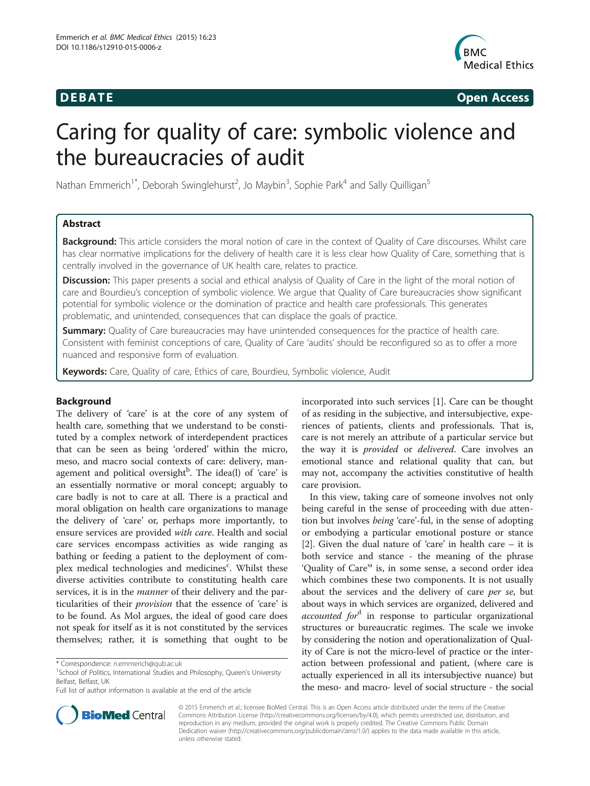

**DEBATE CONSIDERED ACCESS OPEN ACCESS** 

# Caring for quality of care: symbolic violence and the bureaucracies of audit

Nathan Emmerich<sup>1\*</sup>, Deborah Swinglehurst<sup>2</sup>, Jo Maybin<sup>3</sup>, Sophie Park<sup>4</sup> and Sally Quilligan<sup>5</sup>

# Abstract

Background: This article considers the moral notion of care in the context of Quality of Care discourses. Whilst care has clear normative implications for the delivery of health care it is less clear how Quality of Care, something that is centrally involved in the governance of UK health care, relates to practice.

**Discussion:** This paper presents a social and ethical analysis of Quality of Care in the light of the moral notion of care and Bourdieu's conception of symbolic violence. We argue that Quality of Care bureaucracies show significant potential for symbolic violence or the domination of practice and health care professionals. This generates problematic, and unintended, consequences that can displace the goals of practice.

**Summary:** Quality of Care bureaucracies may have unintended consequences for the practice of health care. Consistent with feminist conceptions of care, Quality of Care 'audits' should be reconfigured so as to offer a more nuanced and responsive form of evaluation.

Keywords: Care, Quality of care, Ethics of care, Bourdieu, Symbolic violence, Audit

# Background

The delivery of 'care' is at the core of any system of health care, something that we understand to be constituted by a complex network of interdependent practices that can be seen as being 'ordered' within the micro, meso, and macro social contexts of care: delivery, management and political oversight<sup>b</sup>. The idea(l) of 'care' is an essentially normative or moral concept; arguably to care badly is not to care at all. There is a practical and moral obligation on health care organizations to manage the delivery of 'care' or, perhaps more importantly, to ensure services are provided with care. Health and social care services encompass activities as wide ranging as bathing or feeding a patient to the deployment of complex medical technologies and medicines<sup>c</sup>. Whilst these diverse activities contribute to constituting health care services, it is in the *manner* of their delivery and the particularities of their provision that the essence of 'care' is to be found. As Mol argues, the ideal of good care does not speak for itself as it is not constituted by the services themselves; rather, it is something that ought to be

incorporated into such services [\[1](#page-10-0)]. Care can be thought of as residing in the subjective, and intersubjective, experiences of patients, clients and professionals. That is, care is not merely an attribute of a particular service but the way it is *provided* or *delivered*. Care involves an emotional stance and relational quality that can, but may not, accompany the activities constitutive of health care provision.

In this view, taking care of someone involves not only being careful in the sense of proceeding with due attention but involves being 'care'-ful, in the sense of adopting or embodying a particular emotional posture or stance [[2\]](#page-10-0). Given the dual nature of 'care' in health care – it is both service and stance - the meaning of the phrase 'Quality of Care<sup>'a</sup> is, in some sense, a second order idea which combines these two components. It is not usually about the services and the delivery of care per se, but about ways in which services are organized, delivered and *accounted for*<sup>d</sup> in response to particular organizational structures or bureaucratic regimes. The scale we invoke by considering the notion and operationalization of Quality of Care is not the micro-level of practice or the interaction between professional and patient, (where care is actually experienced in all its intersubjective nuance) but the meso- and macro- level of social structure - the social



© 2015 Emmerich et al.; licensee BioMed Central. This is an Open Access article distributed under the terms of the Creative Commons Attribution License [\(http://creativecommons.org/licenses/by/4.0\)](http://creativecommons.org/licenses/by/4.0), which permits unrestricted use, distribution, and reproduction in any medium, provided the original work is properly credited. The Creative Commons Public Domain Dedication waiver [\(http://creativecommons.org/publicdomain/zero/1.0/](http://creativecommons.org/publicdomain/zero/1.0/)) applies to the data made available in this article, unless otherwise stated.

<sup>\*</sup> Correspondence: [n.emmerich@qub.ac.uk](mailto:n.emmerich@qub.ac.uk) <sup>1</sup>

<sup>&</sup>lt;sup>1</sup>School of Politics, International Studies and Philosophy, Queen's University Belfast, Belfast, UK

Full list of author information is available at the end of the article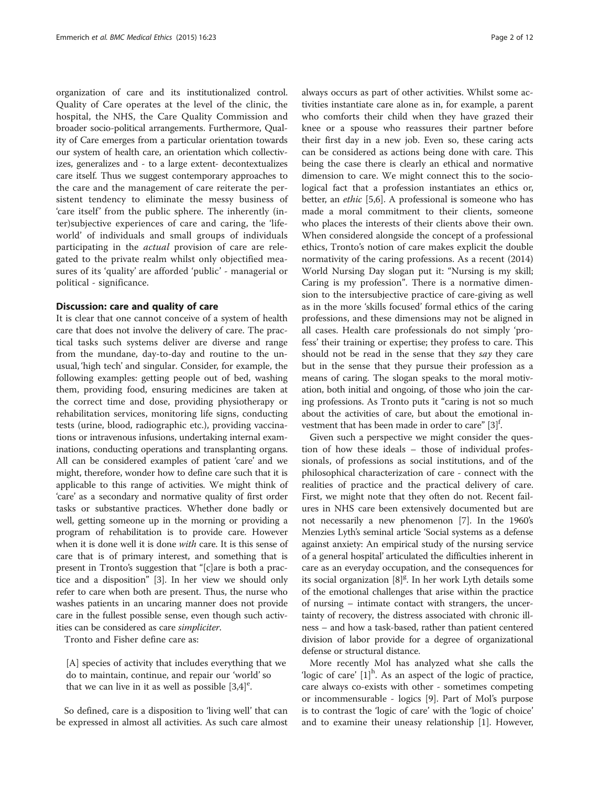organization of care and its institutionalized control. Quality of Care operates at the level of the clinic, the hospital, the NHS, the Care Quality Commission and broader socio-political arrangements. Furthermore, Quality of Care emerges from a particular orientation towards our system of health care, an orientation which collectivizes, generalizes and - to a large extent- decontextualizes care itself. Thus we suggest contemporary approaches to the care and the management of care reiterate the persistent tendency to eliminate the messy business of 'care itself' from the public sphere. The inherently (inter)subjective experiences of care and caring, the 'lifeworld' of individuals and small groups of individuals participating in the actual provision of care are relegated to the private realm whilst only objectified measures of its 'quality' are afforded 'public' - managerial or political - significance.

## Discussion: care and quality of care

It is clear that one cannot conceive of a system of health care that does not involve the delivery of care. The practical tasks such systems deliver are diverse and range from the mundane, day-to-day and routine to the unusual, 'high tech' and singular. Consider, for example, the following examples: getting people out of bed, washing them, providing food, ensuring medicines are taken at the correct time and dose, providing physiotherapy or rehabilitation services, monitoring life signs, conducting tests (urine, blood, radiographic etc.), providing vaccinations or intravenous infusions, undertaking internal examinations, conducting operations and transplanting organs. All can be considered examples of patient 'care' and we might, therefore, wonder how to define care such that it is applicable to this range of activities. We might think of 'care' as a secondary and normative quality of first order tasks or substantive practices. Whether done badly or well, getting someone up in the morning or providing a program of rehabilitation is to provide care. However when it is done well it is done with care. It is this sense of care that is of primary interest, and something that is present in Tronto's suggestion that "[c]are is both a practice and a disposition" [\[3](#page-10-0)]. In her view we should only refer to care when both are present. Thus, the nurse who washes patients in an uncaring manner does not provide care in the fullest possible sense, even though such activities can be considered as care simpliciter.

Tronto and Fisher define care as:

[A] species of activity that includes everything that we do to maintain, continue, and repair our 'world' so that we can live in it as well as possible  $[3,4]$  $[3,4]$ <sup>e</sup>.

So defined, care is a disposition to 'living well' that can be expressed in almost all activities. As such care almost

always occurs as part of other activities. Whilst some activities instantiate care alone as in, for example, a parent who comforts their child when they have grazed their knee or a spouse who reassures their partner before their first day in a new job. Even so, these caring acts can be considered as actions being done with care. This being the case there is clearly an ethical and normative dimension to care. We might connect this to the sociological fact that a profession instantiates an ethics or, better, an ethic [\[5,6](#page-10-0)]. A professional is someone who has made a moral commitment to their clients, someone who places the interests of their clients above their own. When considered alongside the concept of a professional ethics, Tronto's notion of care makes explicit the double normativity of the caring professions. As a recent (2014) World Nursing Day slogan put it: "Nursing is my skill; Caring is my profession". There is a normative dimension to the intersubjective practice of care-giving as well as in the more 'skills focused' formal ethics of the caring professions, and these dimensions may not be aligned in all cases. Health care professionals do not simply 'profess' their training or expertise; they profess to care. This should not be read in the sense that they say they care but in the sense that they pursue their profession as a means of caring. The slogan speaks to the moral motivation, both initial and ongoing, of those who join the caring professions. As Tronto puts it "caring is not so much about the activities of care, but about the emotional investment that has been made in order to care"  $[3]^{f}$  $[3]^{f}$ .

Given such a perspective we might consider the question of how these ideals – those of individual professionals, of professions as social institutions, and of the philosophical characterization of care - connect with the realities of practice and the practical delivery of care. First, we might note that they often do not. Recent failures in NHS care been extensively documented but are not necessarily a new phenomenon [\[7](#page-10-0)]. In the 1960's Menzies Lyth's seminal article 'Social systems as a defense against anxiety: An empirical study of the nursing service of a general hospital' articulated the difficulties inherent in care as an everyday occupation, and the consequences for its social organization [\[8\]](#page-10-0)<sup>g</sup>. In her work Lyth details some of the emotional challenges that arise within the practice of nursing – intimate contact with strangers, the uncertainty of recovery, the distress associated with chronic illness – and how a task-based, rather than patient centered division of labor provide for a degree of organizational defense or structural distance.

More recently Mol has analyzed what she calls the 'logic of care'  $[1]$  $[1]$ <sup>h</sup>. As an aspect of the logic of practice, care always co-exists with other - sometimes competing or incommensurable - logics [[9\]](#page-10-0). Part of Mol's purpose is to contrast the 'logic of care' with the 'logic of choice' and to examine their uneasy relationship [\[1\]](#page-10-0). However,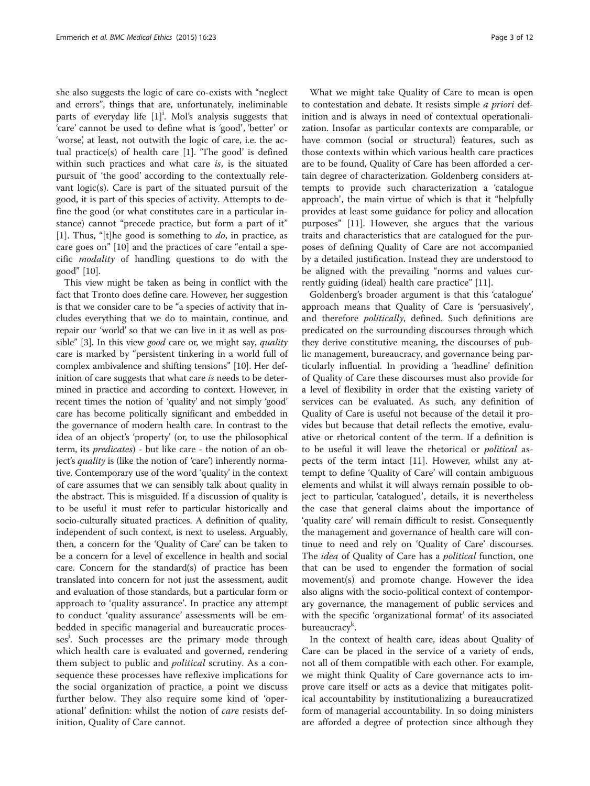she also suggests the logic of care co-exists with "neglect and errors", things that are, unfortunately, ineliminable parts of everyday life  $[1]$  $[1]$ <sup>i</sup>. Mol's analysis suggests that 'care' cannot be used to define what is 'good', 'better' or 'worse', at least, not outwith the logic of care, i.e. the actual practice(s) of health care [[1\]](#page-10-0). 'The good' is defined within such practices and what care *is*, is the situated pursuit of 'the good' according to the contextually relevant logic(s). Care is part of the situated pursuit of the good, it is part of this species of activity. Attempts to define the good (or what constitutes care in a particular instance) cannot "precede practice, but form a part of it" [[1\]](#page-10-0). Thus, "[t]he good is something to  $do$ , in practice, as care goes on" [[10\]](#page-10-0) and the practices of care "entail a specific modality of handling questions to do with the good" [[10](#page-10-0)].

This view might be taken as being in conflict with the fact that Tronto does define care. However, her suggestion is that we consider care to be "a species of activity that includes everything that we do to maintain, continue, and repair our 'world' so that we can live in it as well as pos-sible" [[3](#page-10-0)]. In this view good care or, we might say, quality care is marked by "persistent tinkering in a world full of complex ambivalence and shifting tensions" [[10](#page-10-0)]. Her definition of care suggests that what care is needs to be determined in practice and according to context. However, in recent times the notion of 'quality' and not simply 'good' care has become politically significant and embedded in the governance of modern health care. In contrast to the idea of an object's 'property' (or, to use the philosophical term, its predicates) - but like care - the notion of an object's quality is (like the notion of 'care') inherently normative. Contemporary use of the word 'quality' in the context of care assumes that we can sensibly talk about quality in the abstract. This is misguided. If a discussion of quality is to be useful it must refer to particular historically and socio-culturally situated practices. A definition of quality, independent of such context, is next to useless. Arguably, then, a concern for the 'Quality of Care' can be taken to be a concern for a level of excellence in health and social care. Concern for the standard(s) of practice has been translated into concern for not just the assessment, audit and evaluation of those standards, but a particular form or approach to 'quality assurance'. In practice any attempt to conduct 'quality assurance' assessments will be embedded in specific managerial and bureaucratic processes<sup>j</sup>. Such processes are the primary mode through which health care is evaluated and governed, rendering them subject to public and *political* scrutiny. As a consequence these processes have reflexive implications for the social organization of practice, a point we discuss further below. They also require some kind of 'operational' definition: whilst the notion of care resists definition, Quality of Care cannot.

What we might take Quality of Care to mean is open to contestation and debate. It resists simple a priori definition and is always in need of contextual operationalization. Insofar as particular contexts are comparable, or have common (social or structural) features, such as those contexts within which various health care practices are to be found, Quality of Care has been afforded a certain degree of characterization. Goldenberg considers attempts to provide such characterization a 'catalogue approach', the main virtue of which is that it "helpfully provides at least some guidance for policy and allocation purposes" [[11](#page-11-0)]. However, she argues that the various traits and characteristics that are catalogued for the purposes of defining Quality of Care are not accompanied by a detailed justification. Instead they are understood to be aligned with the prevailing "norms and values currently guiding (ideal) health care practice" [[11\]](#page-11-0).

Goldenberg's broader argument is that this 'catalogue' approach means that Quality of Care is 'persuasively', and therefore *politically*, defined. Such definitions are predicated on the surrounding discourses through which they derive constitutive meaning, the discourses of public management, bureaucracy, and governance being particularly influential. In providing a 'headline' definition of Quality of Care these discourses must also provide for a level of flexibility in order that the existing variety of services can be evaluated. As such, any definition of Quality of Care is useful not because of the detail it provides but because that detail reflects the emotive, evaluative or rhetorical content of the term. If a definition is to be useful it will leave the rhetorical or political aspects of the term intact [[11](#page-11-0)]. However, whilst any attempt to define 'Quality of Care' will contain ambiguous elements and whilst it will always remain possible to object to particular, 'catalogued', details, it is nevertheless the case that general claims about the importance of 'quality care' will remain difficult to resist. Consequently the management and governance of health care will continue to need and rely on 'Quality of Care' discourses. The *idea* of Quality of Care has a *political* function, one that can be used to engender the formation of social movement(s) and promote change. However the idea also aligns with the socio-political context of contemporary governance, the management of public services and with the specific 'organizational format' of its associated bureaucracy<sup>k</sup>.

In the context of health care, ideas about Quality of Care can be placed in the service of a variety of ends, not all of them compatible with each other. For example, we might think Quality of Care governance acts to improve care itself or acts as a device that mitigates political accountability by institutionalizing a bureaucratized form of managerial accountability. In so doing ministers are afforded a degree of protection since although they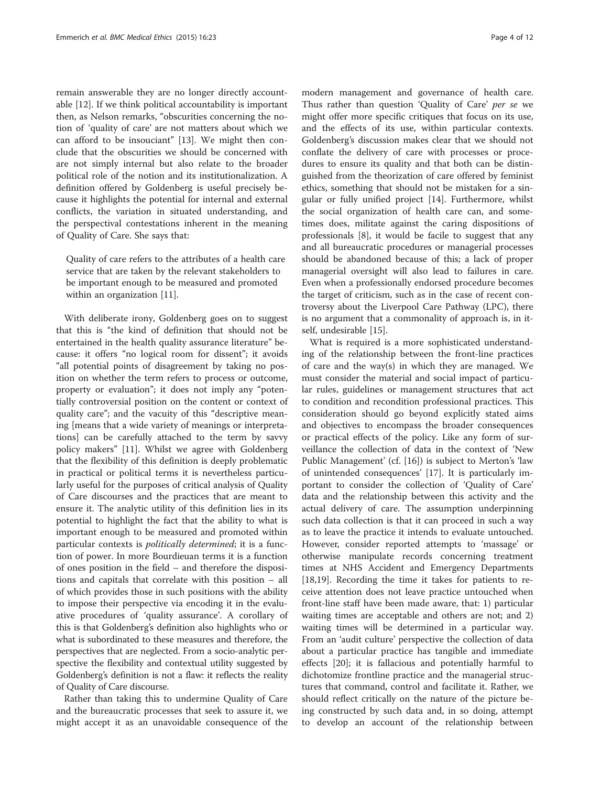remain answerable they are no longer directly accountable [\[12](#page-11-0)]. If we think political accountability is important then, as Nelson remarks, "obscurities concerning the notion of 'quality of care' are not matters about which we can afford to be insouciant" [\[13\]](#page-11-0). We might then conclude that the obscurities we should be concerned with are not simply internal but also relate to the broader political role of the notion and its institutionalization. A definition offered by Goldenberg is useful precisely because it highlights the potential for internal and external conflicts, the variation in situated understanding, and the perspectival contestations inherent in the meaning of Quality of Care. She says that:

Quality of care refers to the attributes of a health care service that are taken by the relevant stakeholders to be important enough to be measured and promoted within an organization [\[11](#page-11-0)].

With deliberate irony, Goldenberg goes on to suggest that this is "the kind of definition that should not be entertained in the health quality assurance literature" because: it offers "no logical room for dissent"; it avoids "all potential points of disagreement by taking no position on whether the term refers to process or outcome, property or evaluation"; it does not imply any "potentially controversial position on the content or context of quality care"; and the vacuity of this "descriptive meaning [means that a wide variety of meanings or interpretations] can be carefully attached to the term by savvy policy makers" [\[11](#page-11-0)]. Whilst we agree with Goldenberg that the flexibility of this definition is deeply problematic in practical or political terms it is nevertheless particularly useful for the purposes of critical analysis of Quality of Care discourses and the practices that are meant to ensure it. The analytic utility of this definition lies in its potential to highlight the fact that the ability to what is important enough to be measured and promoted within particular contexts is *politically determined*; it is a function of power. In more Bourdieuan terms it is a function of ones position in the field – and therefore the dispositions and capitals that correlate with this position – all of which provides those in such positions with the ability to impose their perspective via encoding it in the evaluative procedures of 'quality assurance'. A corollary of this is that Goldenberg's definition also highlights who or what is subordinated to these measures and therefore, the perspectives that are neglected. From a socio-analytic perspective the flexibility and contextual utility suggested by Goldenberg's definition is not a flaw: it reflects the reality of Quality of Care discourse.

Rather than taking this to undermine Quality of Care and the bureaucratic processes that seek to assure it, we might accept it as an unavoidable consequence of the

modern management and governance of health care. Thus rather than question 'Quality of Care' per se we might offer more specific critiques that focus on its use, and the effects of its use, within particular contexts. Goldenberg's discussion makes clear that we should not conflate the delivery of care with processes or procedures to ensure its quality and that both can be distinguished from the theorization of care offered by feminist ethics, something that should not be mistaken for a singular or fully unified project [[14](#page-11-0)]. Furthermore, whilst the social organization of health care can, and sometimes does, militate against the caring dispositions of professionals [[8\]](#page-10-0), it would be facile to suggest that any and all bureaucratic procedures or managerial processes should be abandoned because of this; a lack of proper managerial oversight will also lead to failures in care. Even when a professionally endorsed procedure becomes the target of criticism, such as in the case of recent controversy about the Liverpool Care Pathway (LPC), there is no argument that a commonality of approach is, in itself, undesirable [\[15](#page-11-0)].

What is required is a more sophisticated understanding of the relationship between the front-line practices of care and the way(s) in which they are managed. We must consider the material and social impact of particular rules, guidelines or management structures that act to condition and recondition professional practices. This consideration should go beyond explicitly stated aims and objectives to encompass the broader consequences or practical effects of the policy. Like any form of surveillance the collection of data in the context of 'New Public Management' (cf. [\[16\]](#page-11-0)) is subject to Merton's 'law of unintended consequences' [\[17\]](#page-11-0). It is particularly important to consider the collection of 'Quality of Care' data and the relationship between this activity and the actual delivery of care. The assumption underpinning such data collection is that it can proceed in such a way as to leave the practice it intends to evaluate untouched. However, consider reported attempts to 'massage' or otherwise manipulate records concerning treatment times at NHS Accident and Emergency Departments [[18,19\]](#page-11-0). Recording the time it takes for patients to receive attention does not leave practice untouched when front-line staff have been made aware, that: 1) particular waiting times are acceptable and others are not; and 2) waiting times will be determined in a particular way. From an 'audit culture' perspective the collection of data about a particular practice has tangible and immediate effects [\[20\]](#page-11-0); it is fallacious and potentially harmful to dichotomize frontline practice and the managerial structures that command, control and facilitate it. Rather, we should reflect critically on the nature of the picture being constructed by such data and, in so doing, attempt to develop an account of the relationship between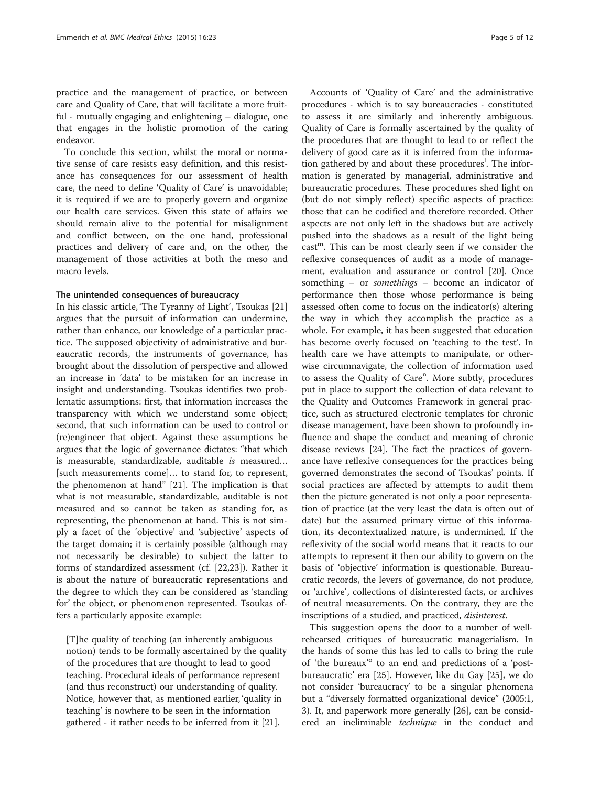practice and the management of practice, or between care and Quality of Care, that will facilitate a more fruitful - mutually engaging and enlightening – dialogue, one that engages in the holistic promotion of the caring endeavor.

To conclude this section, whilst the moral or normative sense of care resists easy definition, and this resistance has consequences for our assessment of health care, the need to define 'Quality of Care' is unavoidable; it is required if we are to properly govern and organize our health care services. Given this state of affairs we should remain alive to the potential for misalignment and conflict between, on the one hand, professional practices and delivery of care and, on the other, the management of those activities at both the meso and macro levels.

### The unintended consequences of bureaucracy

In his classic article, 'The Tyranny of Light', Tsoukas [[21](#page-11-0)] argues that the pursuit of information can undermine, rather than enhance, our knowledge of a particular practice. The supposed objectivity of administrative and bureaucratic records, the instruments of governance, has brought about the dissolution of perspective and allowed an increase in 'data' to be mistaken for an increase in insight and understanding. Tsoukas identifies two problematic assumptions: first, that information increases the transparency with which we understand some object; second, that such information can be used to control or (re)engineer that object. Against these assumptions he argues that the logic of governance dictates: "that which is measurable, standardizable, auditable is measured… [such measurements come]… to stand for, to represent, the phenomenon at hand" [[21](#page-11-0)]. The implication is that what is not measurable, standardizable, auditable is not measured and so cannot be taken as standing for, as representing, the phenomenon at hand. This is not simply a facet of the 'objective' and 'subjective' aspects of the target domain; it is certainly possible (although may not necessarily be desirable) to subject the latter to forms of standardized assessment (cf. [[22,23\]](#page-11-0)). Rather it is about the nature of bureaucratic representations and the degree to which they can be considered as 'standing for' the object, or phenomenon represented. Tsoukas offers a particularly apposite example:

[T]he quality of teaching (an inherently ambiguous notion) tends to be formally ascertained by the quality of the procedures that are thought to lead to good teaching. Procedural ideals of performance represent (and thus reconstruct) our understanding of quality. Notice, however that, as mentioned earlier, 'quality in teaching' is nowhere to be seen in the information gathered - it rather needs to be inferred from it [\[21](#page-11-0)].

Accounts of 'Quality of Care' and the administrative procedures - which is to say bureaucracies - constituted to assess it are similarly and inherently ambiguous. Quality of Care is formally ascertained by the quality of the procedures that are thought to lead to or reflect the delivery of good care as it is inferred from the information gathered by and about these procedures<sup>1</sup>. The information is generated by managerial, administrative and bureaucratic procedures. These procedures shed light on (but do not simply reflect) specific aspects of practice: those that can be codified and therefore recorded. Other aspects are not only left in the shadows but are actively pushed into the shadows as a result of the light being  $cast<sup>m</sup>$ . This can be most clearly seen if we consider the reflexive consequences of audit as a mode of management, evaluation and assurance or control [[20](#page-11-0)]. Once something – or somethings – become an indicator of performance then those whose performance is being assessed often come to focus on the indicator(s) altering the way in which they accomplish the practice as a whole. For example, it has been suggested that education has become overly focused on 'teaching to the test'. In health care we have attempts to manipulate, or otherwise circumnavigate, the collection of information used to assess the Quality of Care<sup>n</sup>. More subtly, procedures put in place to support the collection of data relevant to the Quality and Outcomes Framework in general practice, such as structured electronic templates for chronic disease management, have been shown to profoundly influence and shape the conduct and meaning of chronic disease reviews [\[24\]](#page-11-0). The fact the practices of governance have reflexive consequences for the practices being governed demonstrates the second of Tsoukas' points. If social practices are affected by attempts to audit them then the picture generated is not only a poor representation of practice (at the very least the data is often out of date) but the assumed primary virtue of this information, its decontextualized nature, is undermined. If the reflexivity of the social world means that it reacts to our attempts to represent it then our ability to govern on the basis of 'objective' information is questionable. Bureaucratic records, the levers of governance, do not produce, or 'archive', collections of disinterested facts, or archives of neutral measurements. On the contrary, they are the inscriptions of a studied, and practiced, disinterest.

This suggestion opens the door to a number of wellrehearsed critiques of bureaucratic managerialism. In the hands of some this has led to calls to bring the rule of 'the bureaux" to an end and predictions of a 'postbureaucratic' era [\[25](#page-11-0)]. However, like du Gay [[25\]](#page-11-0), we do not consider 'bureaucracy' to be a singular phenomena but a "diversely formatted organizational device" (2005:1, 3). It, and paperwork more generally [[26](#page-11-0)], can be considered an ineliminable technique in the conduct and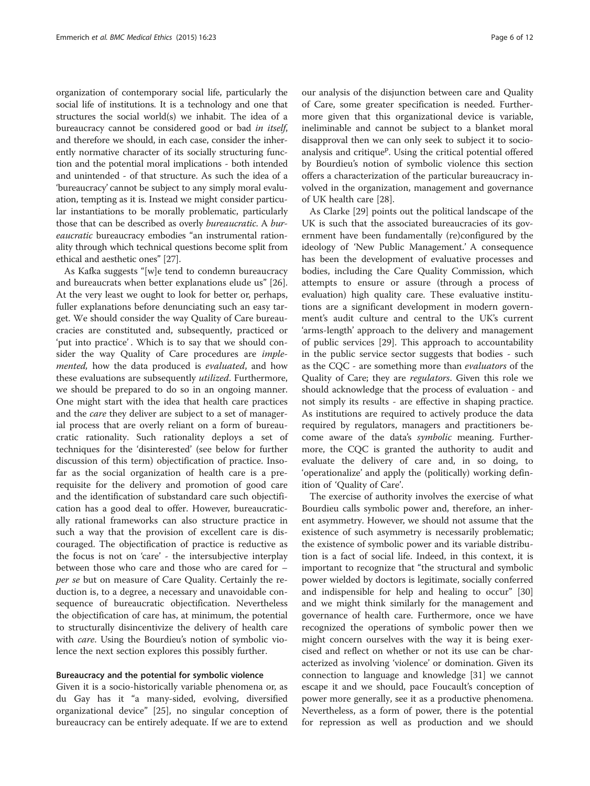organization of contemporary social life, particularly the social life of institutions. It is a technology and one that structures the social world(s) we inhabit. The idea of a bureaucracy cannot be considered good or bad in itself, and therefore we should, in each case, consider the inherently normative character of its socially structuring function and the potential moral implications - both intended and unintended - of that structure. As such the idea of a 'bureaucracy' cannot be subject to any simply moral evaluation, tempting as it is. Instead we might consider particular instantiations to be morally problematic, particularly those that can be described as overly bureaucratic. A bureaucratic bureaucracy embodies "an instrumental rationality through which technical questions become split from ethical and aesthetic ones" [[27\]](#page-11-0).

As Kafka suggests "[w]e tend to condemn bureaucracy and bureaucrats when better explanations elude us" [\[26](#page-11-0)]. At the very least we ought to look for better or, perhaps, fuller explanations before denunciating such an easy target. We should consider the way Quality of Care bureaucracies are constituted and, subsequently, practiced or 'put into practice' . Which is to say that we should consider the way Quality of Care procedures are implemented, how the data produced is evaluated, and how these evaluations are subsequently *utilized*. Furthermore, we should be prepared to do so in an ongoing manner. One might start with the idea that health care practices and the care they deliver are subject to a set of managerial process that are overly reliant on a form of bureaucratic rationality. Such rationality deploys a set of techniques for the 'disinterested' (see below for further discussion of this term) objectification of practice. Insofar as the social organization of health care is a prerequisite for the delivery and promotion of good care and the identification of substandard care such objectification has a good deal to offer. However, bureaucratically rational frameworks can also structure practice in such a way that the provision of excellent care is discouraged. The objectification of practice is reductive as the focus is not on 'care' - the intersubjective interplay between those who care and those who are cared for – per se but on measure of Care Quality. Certainly the reduction is, to a degree, a necessary and unavoidable consequence of bureaucratic objectification. Nevertheless the objectification of care has, at minimum, the potential to structurally disincentivize the delivery of health care with *care*. Using the Bourdieu's notion of symbolic violence the next section explores this possibly further.

#### Bureaucracy and the potential for symbolic violence

Given it is a socio-historically variable phenomena or, as du Gay has it "a many-sided, evolving, diversified organizational device" [[25\]](#page-11-0), no singular conception of bureaucracy can be entirely adequate. If we are to extend

our analysis of the disjunction between care and Quality of Care, some greater specification is needed. Furthermore given that this organizational device is variable, ineliminable and cannot be subject to a blanket moral disapproval then we can only seek to subject it to socioanalysis and critique<sup>p</sup>. Using the critical potential offered by Bourdieu's notion of symbolic violence this section offers a characterization of the particular bureaucracy involved in the organization, management and governance of UK health care [\[28](#page-11-0)].

As Clarke [\[29](#page-11-0)] points out the political landscape of the UK is such that the associated bureaucracies of its government have been fundamentally (re)configured by the ideology of 'New Public Management.' A consequence has been the development of evaluative processes and bodies, including the Care Quality Commission, which attempts to ensure or assure (through a process of evaluation) high quality care. These evaluative institutions are a significant development in modern government's audit culture and central to the UK's current 'arms-length' approach to the delivery and management of public services [[29](#page-11-0)]. This approach to accountability in the public service sector suggests that bodies - such as the CQC - are something more than evaluators of the Quality of Care; they are regulators. Given this role we should acknowledge that the process of evaluation - and not simply its results - are effective in shaping practice. As institutions are required to actively produce the data required by regulators, managers and practitioners become aware of the data's symbolic meaning. Furthermore, the CQC is granted the authority to audit and evaluate the delivery of care and, in so doing, to 'operationalize' and apply the (politically) working definition of 'Quality of Care'.

The exercise of authority involves the exercise of what Bourdieu calls symbolic power and, therefore, an inherent asymmetry. However, we should not assume that the existence of such asymmetry is necessarily problematic; the existence of symbolic power and its variable distribution is a fact of social life. Indeed, in this context, it is important to recognize that "the structural and symbolic power wielded by doctors is legitimate, socially conferred and indispensible for help and healing to occur" [[30](#page-11-0)] and we might think similarly for the management and governance of health care. Furthermore, once we have recognized the operations of symbolic power then we might concern ourselves with the way it is being exercised and reflect on whether or not its use can be characterized as involving 'violence' or domination. Given its connection to language and knowledge [[31\]](#page-11-0) we cannot escape it and we should, pace Foucault's conception of power more generally, see it as a productive phenomena. Nevertheless, as a form of power, there is the potential for repression as well as production and we should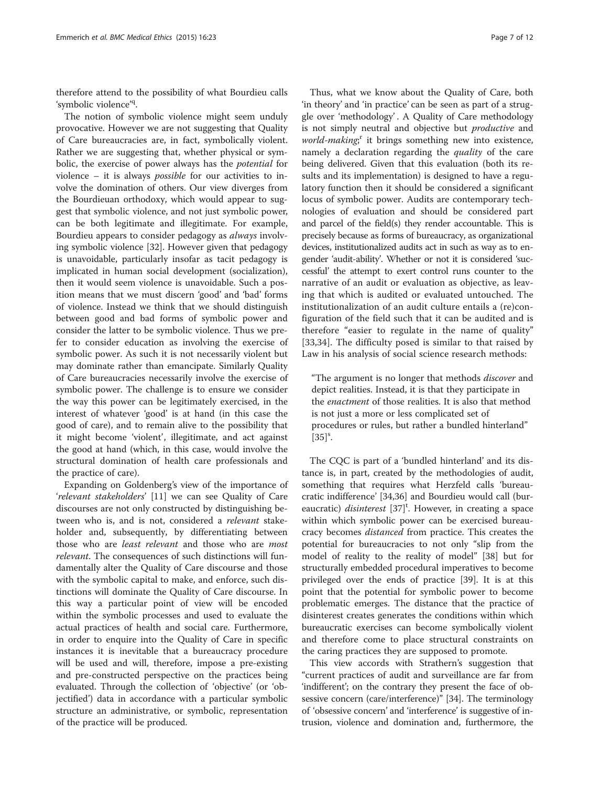therefore attend to the possibility of what Bourdieu calls 'symbolic violence'<sup>q</sup>.

The notion of symbolic violence might seem unduly provocative. However we are not suggesting that Quality of Care bureaucracies are, in fact, symbolically violent. Rather we are suggesting that, whether physical or symbolic, the exercise of power always has the potential for violence – it is always possible for our activities to involve the domination of others. Our view diverges from the Bourdieuan orthodoxy, which would appear to suggest that symbolic violence, and not just symbolic power, can be both legitimate and illegitimate. For example, Bourdieu appears to consider pedagogy as always involving symbolic violence [\[32\]](#page-11-0). However given that pedagogy is unavoidable, particularly insofar as tacit pedagogy is implicated in human social development (socialization), then it would seem violence is unavoidable. Such a position means that we must discern 'good' and 'bad' forms of violence. Instead we think that we should distinguish between good and bad forms of symbolic power and consider the latter to be symbolic violence. Thus we prefer to consider education as involving the exercise of symbolic power. As such it is not necessarily violent but may dominate rather than emancipate. Similarly Quality of Care bureaucracies necessarily involve the exercise of symbolic power. The challenge is to ensure we consider the way this power can be legitimately exercised, in the interest of whatever 'good' is at hand (in this case the good of care), and to remain alive to the possibility that it might become 'violent', illegitimate, and act against the good at hand (which, in this case, would involve the structural domination of health care professionals and the practice of care).

Expanding on Goldenberg's view of the importance of 'relevant stakeholders' [\[11](#page-11-0)] we can see Quality of Care discourses are not only constructed by distinguishing between who is, and is not, considered a relevant stakeholder and, subsequently, by differentiating between those who are least relevant and those who are most relevant. The consequences of such distinctions will fundamentally alter the Quality of Care discourse and those with the symbolic capital to make, and enforce, such distinctions will dominate the Quality of Care discourse. In this way a particular point of view will be encoded within the symbolic processes and used to evaluate the actual practices of health and social care. Furthermore, in order to enquire into the Quality of Care in specific instances it is inevitable that a bureaucracy procedure will be used and will, therefore, impose a pre-existing and pre-constructed perspective on the practices being evaluated. Through the collection of 'objective' (or 'objectified') data in accordance with a particular symbolic structure an administrative, or symbolic, representation of the practice will be produced.

Thus, what we know about the Quality of Care, both 'in theory' and 'in practice' can be seen as part of a struggle over 'methodology' . A Quality of Care methodology is not simply neutral and objective but *productive* and world-making;<sup>r</sup> it brings something new into existence, namely a declaration regarding the *quality* of the care being delivered. Given that this evaluation (both its results and its implementation) is designed to have a regulatory function then it should be considered a significant locus of symbolic power. Audits are contemporary technologies of evaluation and should be considered part and parcel of the field(s) they render accountable. This is precisely because as forms of bureaucracy, as organizational devices, institutionalized audits act in such as way as to engender 'audit-ability'. Whether or not it is considered 'successful' the attempt to exert control runs counter to the narrative of an audit or evaluation as objective, as leaving that which is audited or evaluated untouched. The institutionalization of an audit culture entails a (re)configuration of the field such that it can be audited and is therefore "easier to regulate in the name of quality" [[33,34](#page-11-0)]. The difficulty posed is similar to that raised by Law in his analysis of social science research methods:

"The argument is no longer that methods *discover* and depict realities. Instead, it is that they participate in the enactment of those realities. It is also that method is not just a more or less complicated set of procedures or rules, but rather a bundled hinterland"  $[35]$  $[35]$ <sup>s</sup>.

The CQC is part of a 'bundled hinterland' and its distance is, in part, created by the methodologies of audit, something that requires what Herzfeld calls 'bureaucratic indifference' [[34,36](#page-11-0)] and Bourdieu would call (bureaucratic) *disinterest*  $[37]^{t}$  $[37]^{t}$  $[37]^{t}$ . However, in creating a space within which symbolic power can be exercised bureaucracy becomes distanced from practice. This creates the potential for bureaucracies to not only "slip from the model of reality to the reality of model" [\[38](#page-11-0)] but for structurally embedded procedural imperatives to become privileged over the ends of practice [[39\]](#page-11-0). It is at this point that the potential for symbolic power to become problematic emerges. The distance that the practice of disinterest creates generates the conditions within which bureaucratic exercises can become symbolically violent and therefore come to place structural constraints on the caring practices they are supposed to promote.

This view accords with Strathern's suggestion that "current practices of audit and surveillance are far from 'indifferent'; on the contrary they present the face of obsessive concern (care/interference)" [\[34\]](#page-11-0). The terminology of 'obsessive concern' and 'interference' is suggestive of intrusion, violence and domination and, furthermore, the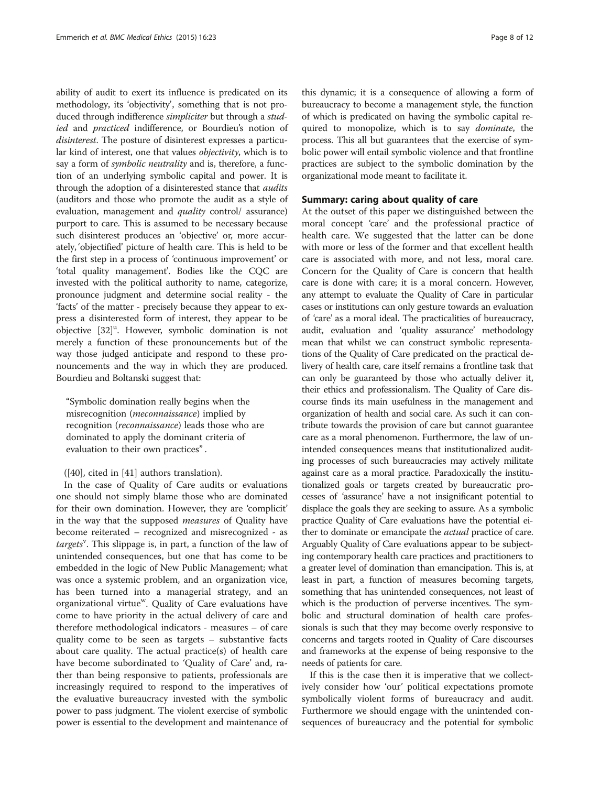ability of audit to exert its influence is predicated on its methodology, its 'objectivity', something that is not produced through indifference simpliciter but through a studied and practiced indifference, or Bourdieu's notion of disinterest. The posture of disinterest expresses a particular kind of interest, one that values objectivity, which is to say a form of *symbolic neutrality* and is, therefore, a function of an underlying symbolic capital and power. It is through the adoption of a disinterested stance that *audits* (auditors and those who promote the audit as a style of evaluation, management and *quality* control/ assurance) purport to care. This is assumed to be necessary because such disinterest produces an 'objective' or, more accurately, 'objectified' picture of health care. This is held to be the first step in a process of 'continuous improvement' or 'total quality management'. Bodies like the CQC are invested with the political authority to name, categorize, pronounce judgment and determine social reality - the 'facts' of the matter - precisely because they appear to express a disinterested form of interest, they appear to be objective [\[32](#page-11-0)]<sup>u</sup>. However, symbolic domination is not merely a function of these pronouncements but of the way those judged anticipate and respond to these pronouncements and the way in which they are produced. Bourdieu and Boltanski suggest that:

"Symbolic domination really begins when the misrecognition (meconnaissance) implied by recognition (reconnaissance) leads those who are dominated to apply the dominant criteria of evaluation to their own practices" .

([[40\]](#page-11-0), cited in [[41\]](#page-11-0) authors translation).

In the case of Quality of Care audits or evaluations one should not simply blame those who are dominated for their own domination. However, they are 'complicit' in the way that the supposed measures of Quality have become reiterated – recognized and misrecognized - as targets<sup>v</sup>. This slippage is, in part, a function of the law of unintended consequences, but one that has come to be embedded in the logic of New Public Management; what was once a systemic problem, and an organization vice, has been turned into a managerial strategy, and an organizational virtue<sup>w</sup>. Quality of Care evaluations have come to have priority in the actual delivery of care and therefore methodological indicators - measures – of care quality come to be seen as targets – substantive facts about care quality. The actual practice(s) of health care have become subordinated to 'Quality of Care' and, rather than being responsive to patients, professionals are increasingly required to respond to the imperatives of the evaluative bureaucracy invested with the symbolic power to pass judgment. The violent exercise of symbolic power is essential to the development and maintenance of

this dynamic; it is a consequence of allowing a form of bureaucracy to become a management style, the function of which is predicated on having the symbolic capital required to monopolize, which is to say *dominate*, the process. This all but guarantees that the exercise of symbolic power will entail symbolic violence and that frontline practices are subject to the symbolic domination by the organizational mode meant to facilitate it.

# Summary: caring about quality of care

At the outset of this paper we distinguished between the moral concept 'care' and the professional practice of health care. We suggested that the latter can be done with more or less of the former and that excellent health care is associated with more, and not less, moral care. Concern for the Quality of Care is concern that health care is done with care; it is a moral concern. However, any attempt to evaluate the Quality of Care in particular cases or institutions can only gesture towards an evaluation of 'care' as a moral ideal. The practicalities of bureaucracy, audit, evaluation and 'quality assurance' methodology mean that whilst we can construct symbolic representations of the Quality of Care predicated on the practical delivery of health care, care itself remains a frontline task that can only be guaranteed by those who actually deliver it, their ethics and professionalism. The Quality of Care discourse finds its main usefulness in the management and organization of health and social care. As such it can contribute towards the provision of care but cannot guarantee care as a moral phenomenon. Furthermore, the law of unintended consequences means that institutionalized auditing processes of such bureaucracies may actively militate against care as a moral practice. Paradoxically the institutionalized goals or targets created by bureaucratic processes of 'assurance' have a not insignificant potential to displace the goals they are seeking to assure. As a symbolic practice Quality of Care evaluations have the potential either to dominate or emancipate the *actual* practice of care. Arguably Quality of Care evaluations appear to be subjecting contemporary health care practices and practitioners to a greater level of domination than emancipation. This is, at least in part, a function of measures becoming targets, something that has unintended consequences, not least of which is the production of perverse incentives. The symbolic and structural domination of health care professionals is such that they may become overly responsive to concerns and targets rooted in Quality of Care discourses and frameworks at the expense of being responsive to the needs of patients for care.

If this is the case then it is imperative that we collectively consider how 'our' political expectations promote symbolically violent forms of bureaucracy and audit. Furthermore we should engage with the unintended consequences of bureaucracy and the potential for symbolic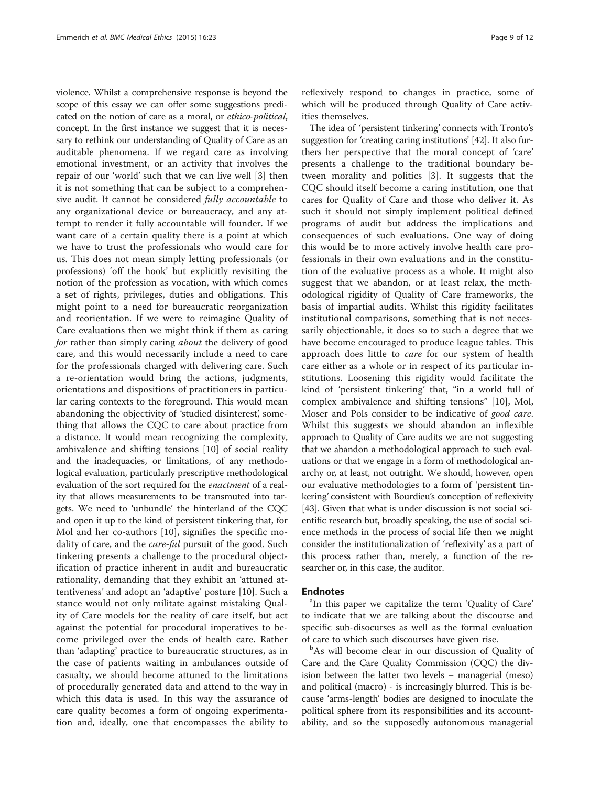violence. Whilst a comprehensive response is beyond the scope of this essay we can offer some suggestions predicated on the notion of care as a moral, or ethico-political, concept. In the first instance we suggest that it is necessary to rethink our understanding of Quality of Care as an auditable phenomena. If we regard care as involving emotional investment, or an activity that involves the repair of our 'world' such that we can live well [\[3](#page-10-0)] then it is not something that can be subject to a comprehensive audit. It cannot be considered fully accountable to any organizational device or bureaucracy, and any attempt to render it fully accountable will founder. If we want care of a certain quality there is a point at which we have to trust the professionals who would care for us. This does not mean simply letting professionals (or professions) 'off the hook' but explicitly revisiting the notion of the profession as vocation, with which comes a set of rights, privileges, duties and obligations. This might point to a need for bureaucratic reorganization and reorientation. If we were to reimagine Quality of Care evaluations then we might think if them as caring for rather than simply caring *about* the delivery of good care, and this would necessarily include a need to care for the professionals charged with delivering care. Such a re-orientation would bring the actions, judgments, orientations and dispositions of practitioners in particular caring contexts to the foreground. This would mean abandoning the objectivity of 'studied disinterest', something that allows the CQC to care about practice from a distance. It would mean recognizing the complexity, ambivalence and shifting tensions [[10\]](#page-10-0) of social reality and the inadequacies, or limitations, of any methodological evaluation, particularly prescriptive methodological evaluation of the sort required for the enactment of a reality that allows measurements to be transmuted into targets. We need to 'unbundle' the hinterland of the CQC and open it up to the kind of persistent tinkering that, for Mol and her co-authors [[10\]](#page-10-0), signifies the specific modality of care, and the *care-ful* pursuit of the good. Such tinkering presents a challenge to the procedural objectification of practice inherent in audit and bureaucratic rationality, demanding that they exhibit an 'attuned attentiveness' and adopt an 'adaptive' posture [\[10](#page-10-0)]. Such a stance would not only militate against mistaking Quality of Care models for the reality of care itself, but act against the potential for procedural imperatives to become privileged over the ends of health care. Rather than 'adapting' practice to bureaucratic structures, as in the case of patients waiting in ambulances outside of casualty, we should become attuned to the limitations of procedurally generated data and attend to the way in which this data is used. In this way the assurance of care quality becomes a form of ongoing experimentation and, ideally, one that encompasses the ability to

reflexively respond to changes in practice, some of which will be produced through Quality of Care activities themselves.

The idea of 'persistent tinkering' connects with Tronto's suggestion for 'creating caring institutions' [\[42\]](#page-11-0). It also furthers her perspective that the moral concept of 'care' presents a challenge to the traditional boundary between morality and politics [[3](#page-10-0)]. It suggests that the CQC should itself become a caring institution, one that cares for Quality of Care and those who deliver it. As such it should not simply implement political defined programs of audit but address the implications and consequences of such evaluations. One way of doing this would be to more actively involve health care professionals in their own evaluations and in the constitution of the evaluative process as a whole. It might also suggest that we abandon, or at least relax, the methodological rigidity of Quality of Care frameworks, the basis of impartial audits. Whilst this rigidity facilitates institutional comparisons, something that is not necessarily objectionable, it does so to such a degree that we have become encouraged to produce league tables. This approach does little to care for our system of health care either as a whole or in respect of its particular institutions. Loosening this rigidity would facilitate the kind of 'persistent tinkering' that, "in a world full of complex ambivalence and shifting tensions" [[10\]](#page-10-0), Mol, Moser and Pols consider to be indicative of good care. Whilst this suggests we should abandon an inflexible approach to Quality of Care audits we are not suggesting that we abandon a methodological approach to such evaluations or that we engage in a form of methodological anarchy or, at least, not outright. We should, however, open our evaluative methodologies to a form of 'persistent tinkering' consistent with Bourdieu's conception of reflexivity [[43](#page-11-0)]. Given that what is under discussion is not social scientific research but, broadly speaking, the use of social science methods in the process of social life then we might consider the institutionalization of 'reflexivity' as a part of this process rather than, merely, a function of the researcher or, in this case, the auditor.

# **Endnotes**

<sup>a</sup>In this paper we capitalize the term 'Quality of Care' to indicate that we are talking about the discourse and specific sub-disocurses as well as the formal evaluation of care to which such discourses have given rise.

<sup>b</sup>As will become clear in our discussion of Quality of Care and the Care Quality Commission (CQC) the division between the latter two levels – managerial (meso) and political (macro) - is increasingly blurred. This is because 'arms-length' bodies are designed to inoculate the political sphere from its responsibilities and its accountability, and so the supposedly autonomous managerial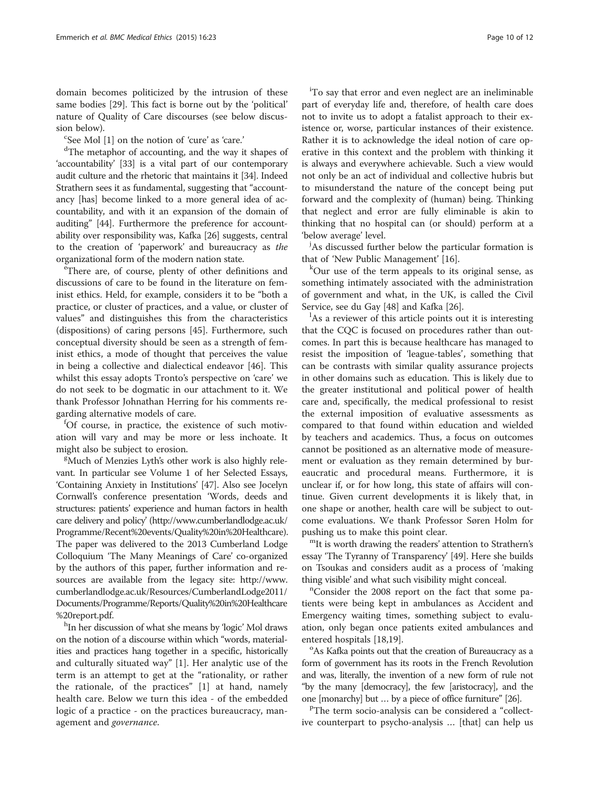domain becomes politicized by the intrusion of these same bodies [\[29](#page-11-0)]. This fact is borne out by the 'political' nature of Quality of Care discourses (see below discussion below).

 $C$ See Mol [[1\]](#page-10-0) on the notion of 'cure' as 'care.'

<sup>d</sup>The metaphor of accounting, and the way it shapes of 'accountability' [[33](#page-11-0)] is a vital part of our contemporary audit culture and the rhetoric that maintains it [\[34\]](#page-11-0). Indeed Strathern sees it as fundamental, suggesting that "accountancy [has] become linked to a more general idea of accountability, and with it an expansion of the domain of auditing" [[44](#page-11-0)]. Furthermore the preference for accountability over responsibility was, Kafka [\[26\]](#page-11-0) suggests, central to the creation of 'paperwork' and bureaucracy as the organizational form of the modern nation state.

There are, of course, plenty of other definitions and discussions of care to be found in the literature on feminist ethics. Held, for example, considers it to be "both a practice, or cluster of practices, and a value, or cluster of values" and distinguishes this from the characteristics (dispositions) of caring persons [[45](#page-11-0)]. Furthermore, such conceptual diversity should be seen as a strength of feminist ethics, a mode of thought that perceives the value in being a collective and dialectical endeavor [\[46](#page-11-0)]. This whilst this essay adopts Tronto's perspective on 'care' we do not seek to be dogmatic in our attachment to it. We thank Professor Johnathan Herring for his comments regarding alternative models of care.

fOf course, in practice, the existence of such motivation will vary and may be more or less inchoate. It might also be subject to erosion.

<sup>g</sup>Much of Menzies Lyth's other work is also highly relevant. In particular see Volume 1 of her Selected Essays, 'Containing Anxiety in Institutions' [\[47\]](#page-11-0). Also see Jocelyn Cornwall's conference presentation 'Words, deeds and structures: patients' experience and human factors in health care delivery and policy' ([http://www.cumberlandlodge.ac.uk/](http://www.cumberlandlodge.ac.uk/Programme/Recent%20events/Quality%20in%20Healthcare) [Programme/Recent%20events/Quality%20in%20Healthcare](http://www.cumberlandlodge.ac.uk/Programme/Recent%20events/Quality%20in%20Healthcare)). The paper was delivered to the 2013 Cumberland Lodge Colloquium 'The Many Meanings of Care' co-organized by the authors of this paper, further information and resources are available from the legacy site: [http://www.](http://www.cumberlandlodge.ac.uk/Resources/CumberlandLodge2011/Documents/Programme/Reports/Quality%20in%20Healthcare%20report.pdf) [cumberlandlodge.ac.uk/Resources/CumberlandLodge2011/](http://www.cumberlandlodge.ac.uk/Resources/CumberlandLodge2011/Documents/Programme/Reports/Quality%20in%20Healthcare%20report.pdf) [Documents/Programme/Reports/Quality%20in%20Healthcare](http://www.cumberlandlodge.ac.uk/Resources/CumberlandLodge2011/Documents/Programme/Reports/Quality%20in%20Healthcare%20report.pdf) [%20report.pdf.](http://www.cumberlandlodge.ac.uk/Resources/CumberlandLodge2011/Documents/Programme/Reports/Quality%20in%20Healthcare%20report.pdf)

h In her discussion of what she means by 'logic' Mol draws on the notion of a discourse within which "words, materialities and practices hang together in a specific, historically and culturally situated way" [\[1](#page-10-0)]. Her analytic use of the term is an attempt to get at the "rationality, or rather the rationale, of the practices" [[1\]](#page-10-0) at hand, namely health care. Below we turn this idea - of the embedded logic of a practice - on the practices bureaucracy, management and governance.

<sup>i</sup>To say that error and even neglect are an ineliminable part of everyday life and, therefore, of health care does not to invite us to adopt a fatalist approach to their existence or, worse, particular instances of their existence. Rather it is to acknowledge the ideal notion of care operative in this context and the problem with thinking it is always and everywhere achievable. Such a view would not only be an act of individual and collective hubris but to misunderstand the nature of the concept being put forward and the complexity of (human) being. Thinking that neglect and error are fully eliminable is akin to thinking that no hospital can (or should) perform at a 'below average' level.

<sup>j</sup>As discussed further below the particular formation is that of 'New Public Management' [\[16\]](#page-11-0).

k Our use of the term appeals to its original sense, as something intimately associated with the administration of government and what, in the UK, is called the Civil Service, see du Gay [\[48](#page-11-0)] and Kafka [\[26](#page-11-0)].

<sup>1</sup>As a reviewer of this article points out it is interesting that the CQC is focused on procedures rather than outcomes. In part this is because healthcare has managed to resist the imposition of 'league-tables', something that can be contrasts with similar quality assurance projects in other domains such as education. This is likely due to the greater institutional and political power of health care and, specifically, the medical professional to resist the external imposition of evaluative assessments as compared to that found within education and wielded by teachers and academics. Thus, a focus on outcomes cannot be positioned as an alternative mode of measurement or evaluation as they remain determined by bureaucratic and procedural means. Furthermore, it is unclear if, or for how long, this state of affairs will continue. Given current developments it is likely that, in one shape or another, health care will be subject to outcome evaluations. We thank Professor Søren Holm for pushing us to make this point clear.<br><sup>m</sup>It is worth drawing the readers' attention to Strathern's

essay 'The Tyranny of Transparency' [\[49\]](#page-11-0). Here she builds on Tsoukas and considers audit as a process of 'making thing visible' and what such visibility might conceal.

<sup>n</sup>Consider the 2008 report on the fact that some patients were being kept in ambulances as Accident and Emergency waiting times, something subject to evaluation, only began once patients exited ambulances and entered hospitals [\[18,19](#page-11-0)].

As Kafka points out that the creation of Bureaucracy as a form of government has its roots in the French Revolution and was, literally, the invention of a new form of rule not "by the many [democracy], the few [aristocracy], and the one [monarchy] but ... by a piece of office furniture" [[26\]](#page-11-0).

The term socio-analysis can be considered a "collective counterpart to psycho-analysis … [that] can help us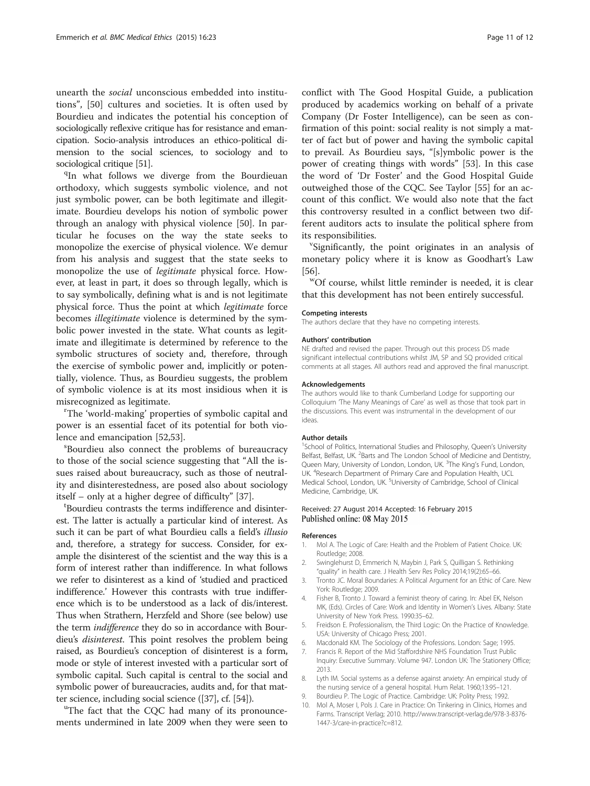<span id="page-10-0"></span>unearth the social unconscious embedded into institutions", [[50](#page-11-0)] cultures and societies. It is often used by Bourdieu and indicates the potential his conception of sociologically reflexive critique has for resistance and emancipation. Socio-analysis introduces an ethico-political dimension to the social sciences, to sociology and to sociological critique  $[51]$  $[51]$  $[51]$ .

<sup>q</sup>In what follows we diverge from the Bourdieuan orthodoxy, which suggests symbolic violence, and not just symbolic power, can be both legitimate and illegitimate. Bourdieu develops his notion of symbolic power through an analogy with physical violence [[50\]](#page-11-0). In particular he focuses on the way the state seeks to monopolize the exercise of physical violence. We demur from his analysis and suggest that the state seeks to monopolize the use of legitimate physical force. However, at least in part, it does so through legally, which is to say symbolically, defining what is and is not legitimate physical force. Thus the point at which legitimate force becomes illegitimate violence is determined by the symbolic power invested in the state. What counts as legitimate and illegitimate is determined by reference to the symbolic structures of society and, therefore, through the exercise of symbolic power and, implicitly or potentially, violence. Thus, as Bourdieu suggests, the problem of symbolic violence is at its most insidious when it is misrecognized as legitimate.

The 'world-making' properties of symbolic capital and power is an essential facet of its potential for both vio-lence and emancipation [\[52,53\]](#page-11-0).

Bourdieu also connect the problems of bureaucracy to those of the social science suggesting that "All the issues raised about bureaucracy, such as those of neutrality and disinterestedness, are posed also about sociology itself – only at a higher degree of difficulty"  $[37]$  $[37]$ .

Bourdieu contrasts the terms indifference and disinterest. The latter is actually a particular kind of interest. As such it can be part of what Bourdieu calls a field's illusio and, therefore, a strategy for success. Consider, for example the disinterest of the scientist and the way this is a form of interest rather than indifference. In what follows we refer to disinterest as a kind of 'studied and practiced indifference.' However this contrasts with true indifference which is to be understood as a lack of dis/interest. Thus when Strathern, Herzfeld and Shore (see below) use the term *indifference* they do so in accordance with Bourdieu's disinterest. This point resolves the problem being raised, as Bourdieu's conception of disinterest is a form, mode or style of interest invested with a particular sort of symbolic capital. Such capital is central to the social and symbolic power of bureaucracies, audits and, for that matter science, including social science  $([37], \text{cf. } [54])$  $([37], \text{cf. } [54])$  $([37], \text{cf. } [54])$  $([37], \text{cf. } [54])$  $([37], \text{cf. } [54])$ .

<sup>u</sup>The fact that the CQC had many of its pronouncements undermined in late 2009 when they were seen to conflict with The Good Hospital Guide, a publication produced by academics working on behalf of a private Company (Dr Foster Intelligence), can be seen as confirmation of this point: social reality is not simply a matter of fact but of power and having the symbolic capital to prevail. As Bourdieu says, "[s]ymbolic power is the power of creating things with words" [\[53\]](#page-11-0). In this case the word of 'Dr Foster' and the Good Hospital Guide outweighed those of the CQC. See Taylor [\[55](#page-11-0)] for an account of this conflict. We would also note that the fact this controversy resulted in a conflict between two different auditors acts to insulate the political sphere from its responsibilities.

Significantly, the point originates in an analysis of monetary policy where it is know as Goodhart's Law [[56\]](#page-11-0).<br>WOf course, whilst little reminder is needed, it is clear

that this development has not been entirely successful.

#### Competing interests

The authors declare that they have no competing interests.

#### Authors' contribution

NE drafted and revised the paper. Through out this process DS made significant intellectual contributions whilst JM, SP and SQ provided critical comments at all stages. All authors read and approved the final manuscript.

#### Acknowledgements

The authors would like to thank Cumberland Lodge for supporting our Colloquium 'The Many Meanings of Care' as well as those that took part in the discussions. This event was instrumental in the development of our ideas.

#### Author details

<sup>1</sup>School of Politics, International Studies and Philosophy, Queen's University Belfast, Belfast, UK. <sup>2</sup>Barts and The London School of Medicine and Dentistry Queen Mary, University of London, London, UK. <sup>3</sup>The King's Fund, London UK. <sup>4</sup>Research Department of Primary Care and Population Health, UCL Medical School, London, UK. <sup>5</sup>University of Cambridge, School of Clinical Medicine, Cambridge, UK.

### Received: 27 August 2014 Accepted: 16 February 2015 Published online: 08 May 2015

#### References

- 1. Mol A. The Logic of Care: Health and the Problem of Patient Choice. UK: Routledge; 2008.
- 2. Swinglehurst D, Emmerich N, Maybin J, Park S, Quilligan S. Rethinking "quality" in health care. J Health Serv Res Policy 2014;19(2):65–66.
- 3. Tronto JC. Moral Boundaries: A Political Argument for an Ethic of Care. New York: Routledge; 2009.
- 4. Fisher B, Tronto J. Toward a feminist theory of caring. In: Abel EK, Nelson MK, (Eds). Circles of Care: Work and Identity in Women's Lives. Albany: State University of New York Press. 1990:35–62.
- 5. Freidson E. Professionalism, the Third Logic: On the Practice of Knowledge. USA: University of Chicago Press; 2001.
- 6. Macdonald KM. The Sociology of the Professions. London: Sage; 1995.
- 7. Francis R. Report of the Mid Staffordshire NHS Foundation Trust Public Inquiry: Executive Summary. Volume 947. London UK: The Stationery Office; 2013.
- 8. Lyth IM. Social systems as a defense against anxiety: An empirical study of the nursing service of a general hospital. Hum Relat. 1960;13:95–121.
- 9. Bourdieu P. The Logic of Practice. Cambridge: UK: Polity Press; 1992.
- 10. Mol A, Moser I, Pols J. Care in Practice: On Tinkering in Clinics, Homes and Farms. Transcript Verlag; 2010. [http://www.transcript-verlag.de/978-3-8376-](http://www.transcript-verlag.de/978-3-8376-1447-3/care-in-practice?c=812) [1447-3/care-in-practice?c=812](http://www.transcript-verlag.de/978-3-8376-1447-3/care-in-practice?c=812).